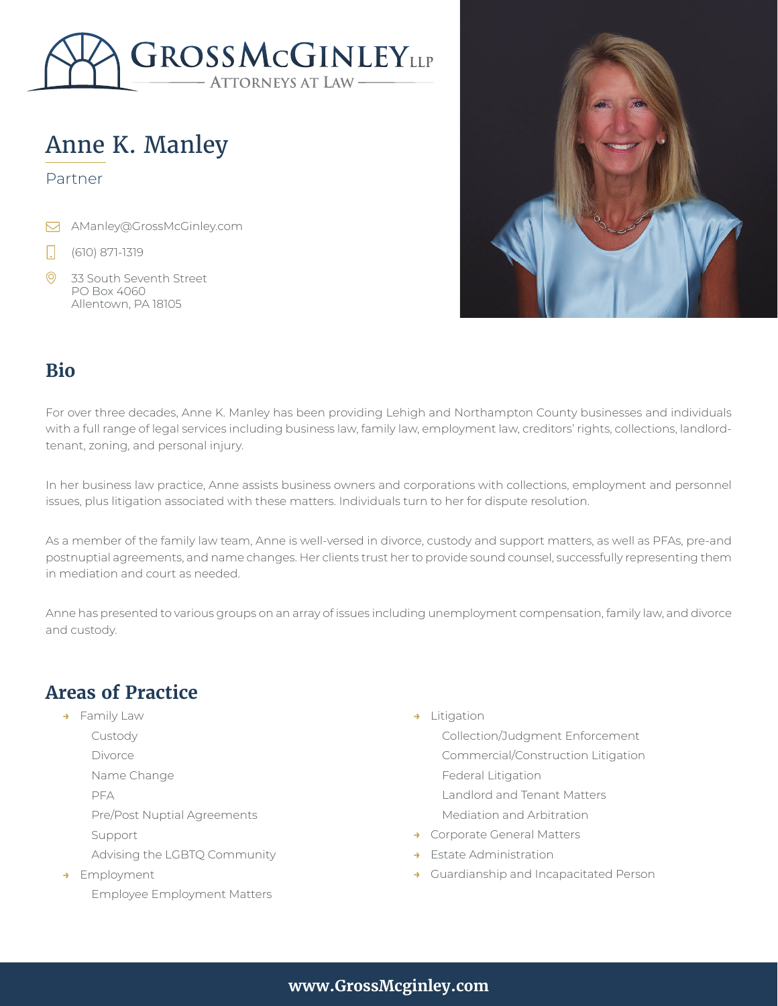

# Anne K. Manley

#### Partner

- Manley@GrossMcGinley.com
- (610) 871-1319  $\Box$
- $\odot$ 33 South Seventh Street PO Box 4060 Allentown, PA 18105



#### **Bio**

For over three decades, Anne K. Manley has been providing Lehigh and Northampton County businesses and individuals with a full range of legal services including business law, family law, employment law, creditors' rights, collections, landlordtenant, zoning, and personal injury.

In her business law practice, Anne assists business owners and corporations with collections, employment and personnel issues, plus litigation associated with these matters. Individuals turn to her for dispute resolution.

As a member of the family law team, Anne is well-versed in divorce, custody and support matters, as well as PFAs, pre-and postnuptial agreements, and name changes. Her clients trust her to provide sound counsel, successfully representing them in mediation and court as needed.

Anne has presented to various groups on an array of issues including unemployment compensation, family law, and divorce and custody.

# **Areas of Practice**

- **→** Family Law
	- Custody Divorce
	- Name Change
	-
	- PFA
	- Pre/Post Nuptial Agreements
	- Support
		- Advising the LGBTQ Community
- **→** Employment Employee Employment Matters
- **→** Litigation
	- Collection/Judgment Enforcement Commercial/Construction Litigation Federal Litigation Landlord and Tenant Matters Mediation and Arbitration
- **→** Corporate General Matters
- **Estate Administration**
- **→** Guardianship and Incapacitated Person